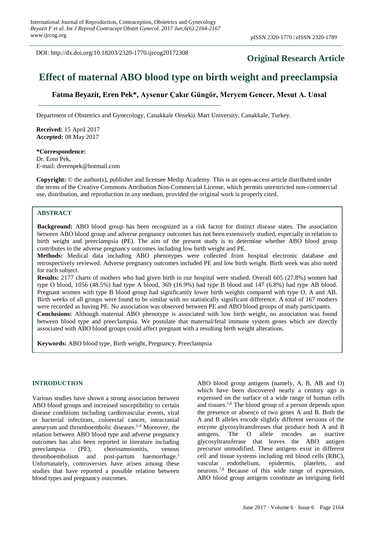DOI: http://dx.doi.org/10.18203/2320-1770.ijrcog20172308

## **Original Research Article**

# **Effect of maternal ABO blood type on birth weight and preeclampsia**

**Fatma Beyazit, Eren Pek\*, Aysenur Çakır Güngör, Meryem Gencer, Mesut A. Unsal**

Department of Obstetrics and Gynecology, Canakkale Onsekiz Mart University, Canakkale, Turkey.

**Received:** 15 April 2017 **Accepted:** 08 May 2017

**\*Correspondence:** Dr. Eren Pek, E-mail: drerenpek@hotmail.com

**Copyright:** © the author(s), publisher and licensee Medip Academy. This is an open-access article distributed under the terms of the Creative Commons Attribution Non-Commercial License, which permits unrestricted non-commercial use, distribution, and reproduction in any medium, provided the original work is properly cited.

#### **ABSTRACT**

**Background:** ABO blood group has been recognized as a risk factor for distinct disease states. The association between ABO blood group and adverse pregnancy outcomes has not been extensively studied, especially in relation to birth weight and preeclampsia (PE). The aim of the present study is to determine whether ABO blood group contributes to the adverse pregnancy outcomes including low birth weight and PE.

**Methods:** Medical data including ABO phenotypes were collected from hospital electronic database and retrospectively reviewed. Adverse pregnancy outcomes included PE and low birth weight. Birth week was also noted for each subject.

**Results:** 2177 charts of mothers who had given birth in our hospital were studied. Overall 605 (27.8%) women had type O blood, 1056 (48.5%) had type A blood, 369 (16.9%) had type B blood and 147 (6.8%) had type AB blood. Pregnant women with type B blood group had significantly lower birth weights compared with type O, A and AB. Birth weeks of all groups were found to be similar with no statistically significant difference. A total of 167 mothers were recorded as having PE. No association was observed between PE and ABO blood groups of study participants. **Conclusions:** Although maternal ABO phenotype is associated with low birth weight, no association was found between blood type and preeclampsia. We postulate that maternal/fetal immune system genes which are directly associated with ABO blood groups could affect pregnant with a resulting birth weight alterations.

**Keywords:** ABO blood type, Birth weight, Pregnancy, Preeclampsia

#### **INTRODUCTION**

Various studies have shown a strong association between ABO blood groups and increased susceptibility to certain disease conditions including cardiovascular events, viral or bacterial infections, colorectal cancer, intracranial aneurysm and thromboembolic diseases. 1-4 Moreover, the relation between ABO blood type and adverse pregnancy outcomes has also been reported in literature including preeclampsia (PE), chorioamnionitis, venous thromboembolism and post-partum haemorrhage. 5 Unfortunately, controversies have arisen among these studies that have reported a possible relation between blood types and pregnancy outcomes.

ABO blood group antigens (namely, A, B, AB and O) which have been discovered nearly a century ago is expressed on the surface of a wide range of human cells and tissues. 5,6 The blood group of a person depends upon the presence or absence of two genes A and B. Both the A and B alleles encode slightly different versions of the enzyme glycosyltransferases that produce both A and B antigens. The O allele encodes an inactive glycosyltransferase that leaves the ABO antigen precursor unmodified. These antigens exist in different cell and tissue systems including red blood cells (RBC), vascular endothelium, epidermis, platelets, and neurons.7,8 Because of this wide range of expression, ABO blood group antigens constitute an intriguing field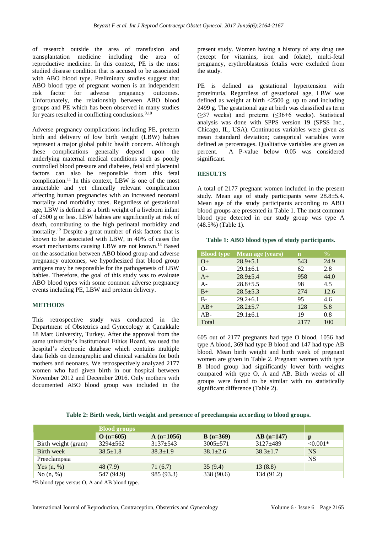of research outside the area of transfusion and transplantation medicine including the area of reproductive medicine. In this context, PE is the most studied disease condition that is accused to be associated with ABO blood type. Preliminary studies suggest that ABO blood type of pregnant women is an independent risk factor for adverse pregnancy outcomes. Unfortunately, the relationship between ABO blood groups and PE which has been observed in many studies for years resulted in conflicting conclusions.<sup>9,10</sup>

Adverse pregnancy complications including PE, preterm birth and delivery of low birth weight (LBW) babies represent a major global public health concern. Although these complications generally depend upon the underlying maternal medical conditions such as poorly controlled blood pressure and diabetes, fetal and placental factors can also be responsible from this fetal complication.<sup>11</sup> In this context, LBW is one of the most intractable and yet clinically relevant complication affecting human pregnancies with an increased neonatal mortality and morbidity rates. Regardless of gestational age, LBW is defined as a birth weight of a liveborn infant of 2500 g or less. LBW babies are significantly at risk of death, contributing to the high perinatal morbidity and mortality. <sup>12</sup> Despite a great number of risk factors that is known to be associated with LBW, in 40% of cases the exact mechanisms causing LBW are not known. <sup>13</sup> Based on the association between ABO blood group and adverse pregnancy outcomes, we hypothesized that blood group antigens may be responsible for the pathogenesis of LBW babies. Therefore, the goal of this study was to evaluate ABO blood types with some common adverse pregnancy events including PE, LBW and preterm delivery.

#### **METHODS**

This retrospective study was conducted in the Department of Obstetrics and Gynecology at Çanakkale 18 Mart University, Turkey. After the approval from the same university's Institutional Ethics Board, we used the hospital's electronic database which contains multiple data fields on demographic and clinical variables for both mothers and neonates. We retrospectively analyzed 2177 women who had given birth in our hospital between November 2012 and December 2016. Only mothers with documented ABO blood group was included in the present study. Women having a history of any drug use (except for vitamins, iron and folate), multi-fetal pregnancy, erythroblastosis fetalis were excluded from the study.

PE is defined as gestational hypertension with proteinuria. Regardless of gestational age, LBW was defined as weight at birth  $\langle 2500 \text{ g}$ , up to and including 2499 g. The gestational age at birth was classified as term  $(\geq)37$  weeks) and preterm  $(\leq)36+6$  weeks). Statistical analysis was done with SPPS version 19 (SPSS Inc., Chicago, IL, USA). Continuous variables were given as mean ±standard deviation; categorical variables were defined as percentages. Qualitative variables are given as percent. A P-value below 0.05 was considered significant.

#### **RESULTS**

A total of 2177 pregnant women included in the present study. Mean age of study participants were 28.8±5.4. Mean age of the study participants according to ABO blood groups are presented in Table 1. The most common blood type detected in our study group was type A (48.5%) (Table 1).

| <b>Blood type</b> | Mean age (years) | $\mathbf n$ | $\frac{0}{0}$ |
|-------------------|------------------|-------------|---------------|
| $O+$              | $28.9 + 5.1$     | 543         | 24.9          |
| $O-$              | $29.1 + 6.1$     | 62          | 2.8           |
| $A+$              | $28.9 + 5.4$     | 958         | 44.0          |
| $A -$             | $28.8 + 5.5$     | 98          | 4.5           |
| $B+$              | $28.5 + 5.3$     | 274         | 12.6          |
| $B -$             | $29.2 \pm 6.1$   | 95          | 4.6           |
| $AB+$             | $28.2 + 5.7$     | 128         | 5.8           |
| $AB-$             | $29.1 \pm 6.1$   | 19          | 0.8           |
| Total             |                  | 2177        | 100           |

**Table 1: ABO blood types of study participants.**

605 out of 2177 pregnants had type O blood, 1056 had type A blood, 369 had type B blood and 147 had type AB blood. Mean birth weight and birth week of pregnant women are given in Table 2. Pregnant women with type B blood group had significantly lower birth weights compared with type O, A and AB. Birth weeks of all groups were found to be similar with no statistically significant difference (Table 2).

**Table 2: Birth week, birth weight and presence of preeclampsia according to blood groups.**

|                     | <b>Blood groups</b> |                |              |                |            |  |  |
|---------------------|---------------------|----------------|--------------|----------------|------------|--|--|
|                     | $O(n=605)$          | $A(n=1056)$    | $B(n=369)$   | $AB(n=147)$    | D          |  |  |
| Birth weight (gram) | $3294 + 562$        | $3137 + 543$   | $3005 + 571$ | $3127 \pm 489$ | $< 0.001*$ |  |  |
| Birth week          | $38.5 \pm 1.8$      | $38.3 \pm 1.9$ | $38.1 + 2.6$ | $38.3 \pm 1.7$ | NS.        |  |  |
| Preeclampsia        |                     |                |              |                | NS         |  |  |
| Yes $(n, %)$        | 48 (7.9)            | 71 (6.7)       | 35(9.4)      | 13(8.8)        |            |  |  |
| No $(n, %)$         | 547 (94.9)          | 985 (93.3)     | 338 (90.6)   | 134 (91.2)     |            |  |  |

\*B blood type versus O, A and AB blood type.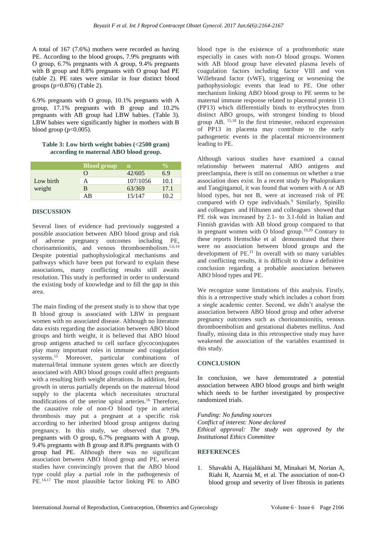A total of 167 (7.6%) mothers were recorded as having PE. According to the blood groups, 7.9% pregnants with O group, 6.7% pregnants with A group, 9.4% pregnants with B group and 8.8% pregnants with O group had PE (table 2). PE rates were similar in four distinct blood groups (p=0.876) (Table 2).

6.9% pregnants with O group, 10.1% pregnants with A group, 17.1% pregnants with B group and 10.2% pregnants with AB group had LBW babies. (Table 3). LBW babies were significantly higher in mothers with B blood group  $(p<0.005)$ .

#### **Table 3: Low birth weight babies (<2500 gram) according to maternal ABO blood group.**

|           | <b>Blood group</b> | n        | $\mathbf{v}_0$ |
|-----------|--------------------|----------|----------------|
|           |                    | 42/605   | 6.9            |
| Low birth |                    | 107/1056 | 10.1           |
| weight    | R                  | 63/369   | 17.1           |
|           | AB                 | 15/147   | 10.2           |

### **DISCUSSION**

Several lines of evidence had previously suggested a possible association between ABO blood group and risk of adverse pregnancy outcomes including PE, chorioamnionitis, and venous thromboembolism. 5,6,14 Despite potential pathophysiological mechanisms and pathways which have been put forward to explain these associations, many conflicting results still awaits resolution. This study is performed in order to understand the existing body of knowledge and to fill the gap in this area.

The main finding of the present study is to show that type B blood group is associated with LBW in pregnant women with no associated disease. Although no literature data exists regarding the association between ABO blood groups and birth weight, it is believed that ABO blood group antigens attached to cell surface glycoconjugates play many important roles in immune and coagulation systems. <sup>15</sup> Moreover, particular combinations of maternal/fetal immune system genes which are directly associated with ABO blood groups could affect pregnants with a resulting birth weight alterations. In addition, fetal growth in uterus partially depends on the maternal blood supply to the placenta which necessitates structural modifications of the uterine spiral arteries. <sup>16</sup> Therefore, the causative role of non-O blood type in arterial thrombosis may put a pregnant at a specific risk according to her inherited blood group antigens during pregnancy. In this study, we observed that 7.9% pregnants with O group, 6.7% pregnants with A group, 9.4% pregnants with B group and 8.8% pregnants with O group had PE. Although there was no significant association between ABO blood group and PE, several studies have convincingly proven that the ABO blood type could play a partial role in the pathogenesis of PE. 14,17 The most plausible factor linking PE to ABO blood type is the existence of a prothrombotic state especially in cases with non-O blood groups. Women with AB blood group have elevated plasma levels of coagulation factors including factor VIII and von Willebrand factor (vWF), triggering or worsening the pathophysiologic events that lead to PE. One other mechanism linking ABO blood group to PE seems to be maternal immune response related to placental protein 13 (PP13) which differentially binds to erythrocytes from distinct ABO groups, with strongest binding to blood group AB. 15,18 In the first trimester, reduced expression of PP13 in placenta may contribute to the early pathogenetic events in the placental microenvironment leading to PE.

Although various studies have examined a causal relationship between maternal ABO antigens and preeclampsia, there is still no consensus on whether a true association does exist. In a recent study by [Phaloprakarn](https://www.ncbi.nlm.nih.gov/pubmed/?term=Phaloprakarn%20C%5BAuthor%5D&cauthor=true&cauthor_uid=22678143) and [Tangjitgamol,](https://www.ncbi.nlm.nih.gov/pubmed/?term=Tangjitgamol%20S%5BAuthor%5D&cauthor=true&cauthor_uid=22678143) it was found that women with A or AB blood types, but not B, were at increased risk of PE compared with O type individuals.<sup>9</sup> Similarly, Spinillo and colleagues and Hiltunen and colleagues showed that PE risk was increased by 2.1- to 3.1-fold in Italian and Finnish gravidas with AB blood group compared to that in pregnant women with O blood group.19,20 Contrary to these reports [Hentschke](https://www.ncbi.nlm.nih.gov/pubmed/?term=Hentschke%20MR%5BAuthor%5D&cauthor=true&cauthor_uid=26104423) et al demonstrated that there were no association between blood groups and the development of PE. <sup>21</sup> In overall with so many variables and conflicting results, it is difficult to draw a definitive conclusion regarding a probable association between ABO blood types and PE.

We recognize some limitations of this analysis. Firstly, this is a retrospective study which includes a cohort from a single academic center. Second, we didn't analyse the association between ABO blood group and other adverse pregnancy outcomes such as chorioamnionitis, venous thromboembolism and gestational diabetes mellitus. And finally, missing data in this retrospective study may have weakened the association of the variables examined in this study.

#### **CONCLUSION**

In conclusion, we have demonstrated a potential association between ABO blood groups and birth weight which needs to be further investigated by prospective randomized trials.

*Funding: No funding sources Conflict of interest: None declared Ethical approval: The study was approved by the Institutional Ethics Committee*

#### **REFERENCES**

1. Shavakhi A, Hajalikhani M, Minakari M, Norian A, Riahi R, Azarnia M, et al. The association of non-O blood group and severity of liver fibrosis in patients